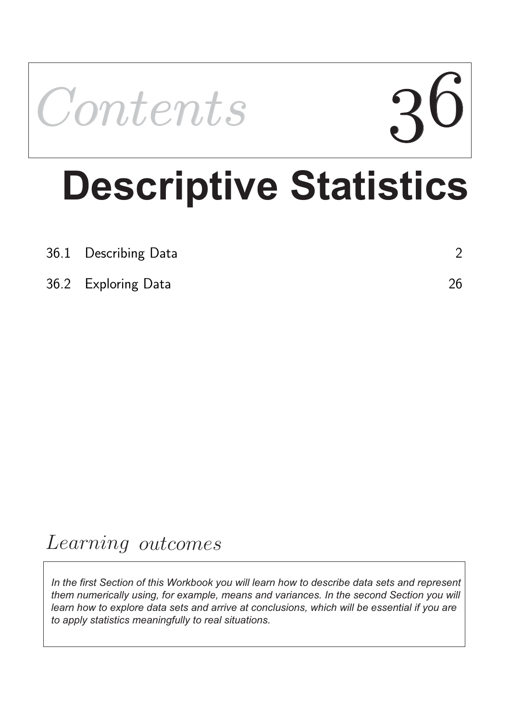

# **Descriptive Statistics**

| 36.1 Describing Data |    |
|----------------------|----|
| 36.2 Exploring Data  | 26 |

## Learning outcomes

*In the first Section of this Workbook you will learn how to describe data sets and represent them numerically using, for example, means and variances. In the second Section you will*  learn how to explore data sets and arrive at conclusions, which will be essential if you are *to apply statistics meaningfully to real situations.*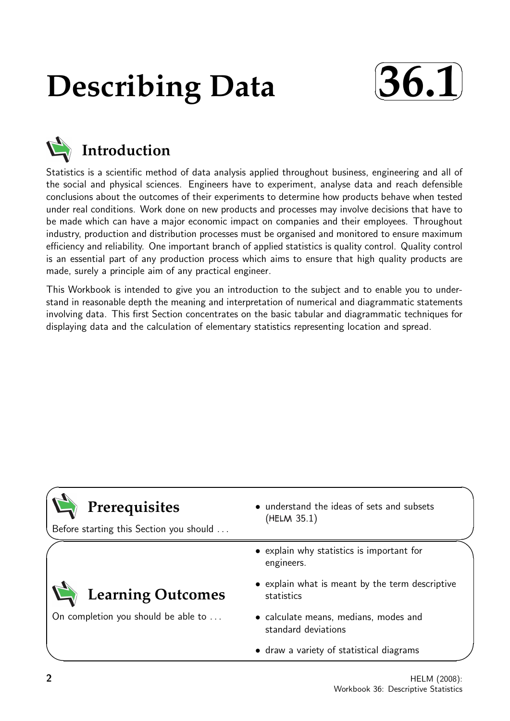## **Describing Data**





Statistics is a scientific method of data analysis applied throughout business, engineering and all of the social and physical sciences. Engineers have to experiment, analyse data and reach defensible conclusions about the outcomes of their experiments to determine how products behave when tested under real conditions. Work done on new products and processes may involve decisions that have to be made which can have a major economic impact on companies and their employees. Throughout industry, production and distribution processes must be organised and monitored to ensure maximum efficiency and reliability. One important branch of applied statistics is quality control. Quality control is an essential part of any production process which aims to ensure that high quality products are made, surely a principle aim of any practical engineer.

This Workbook is intended to give you an introduction to the subject and to enable you to understand in reasonable depth the meaning and interpretation of numerical and diagrammatic statements involving data. This first Section concentrates on the basic tabular and diagrammatic techniques for displaying data and the calculation of elementary statistics representing location and spread.

| Prerequisites<br>Before starting this Section you should | • understand the ideas of sets and subsets<br>(HELM 35.1)     |
|----------------------------------------------------------|---------------------------------------------------------------|
|                                                          | • explain why statistics is important for<br>engineers.       |
| <b>Learning Outcomes</b>                                 | • explain what is meant by the term descriptive<br>statistics |
| On completion you should be able to                      | • calculate means, medians, modes and<br>standard deviations  |
|                                                          | • draw a variety of statistical diagrams                      |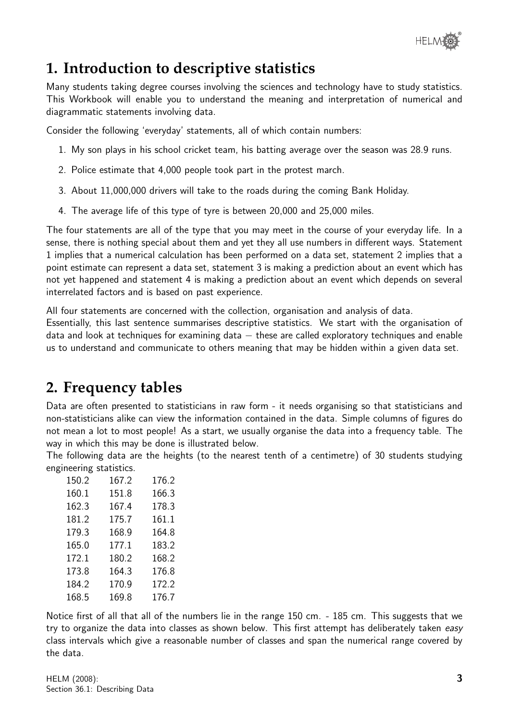

## **1. Introduction to descriptive statistics**

Many students taking degree courses involving the sciences and technology have to study statistics. This Workbook will enable you to understand the meaning and interpretation of numerical and diagrammatic statements involving data.

Consider the following 'everyday' statements, all of which contain numbers:

- 1. My son plays in his school cricket team, his batting average over the season was 28.9 runs.
- 2. Police estimate that 4,000 people took part in the protest march.
- 3. About 11,000,000 drivers will take to the roads during the coming Bank Holiday.
- 4. The average life of this type of tyre is between 20,000 and 25,000 miles.

The four statements are all of the type that you may meet in the course of your everyday life. In a sense, there is nothing special about them and yet they all use numbers in different ways. Statement 1 implies that a numerical calculation has been performed on a data set, statement 2 implies that a point estimate can represent a data set, statement 3 is making a prediction about an event which has not yet happened and statement 4 is making a prediction about an event which depends on several interrelated factors and is based on past experience.

All four statements are concerned with the collection, organisation and analysis of data.

Essentially, this last sentence summarises descriptive statistics. We start with the organisation of data and look at techniques for examining data  $-$  these are called exploratory techniques and enable us to understand and communicate to others meaning that may be hidden within a given data set.

## **2. Frequency tables**

Data are often presented to statisticians in raw form - it needs organising so that statisticians and non-statisticians alike can view the information contained in the data. Simple columns of figures do not mean a lot to most people! As a start, we usually organise the data into a frequency table. The way in which this may be done is illustrated below.

The following data are the heights (to the nearest tenth of a centimetre) of 30 students studying engineering statistics.

| 150.2 | 167.2 | 176.2 |
|-------|-------|-------|
| 160.1 | 151.8 | 166.3 |
| 162.3 | 167.4 | 178.3 |
| 181.2 | 175.7 | 161.1 |
| 179.3 | 168.9 | 164.8 |
| 165.0 | 177.1 | 183.2 |
| 172.1 | 180.2 | 168.2 |
| 173.8 | 164.3 | 176.8 |
| 184.2 | 170.9 | 172.2 |
| 168.5 | 169.8 | 176.7 |

Notice first of all that all of the numbers lie in the range 150 cm. - 185 cm. This suggests that we try to organize the data into classes as shown below. This first attempt has deliberately taken easy class intervals which give a reasonable number of classes and span the numerical range covered by the data.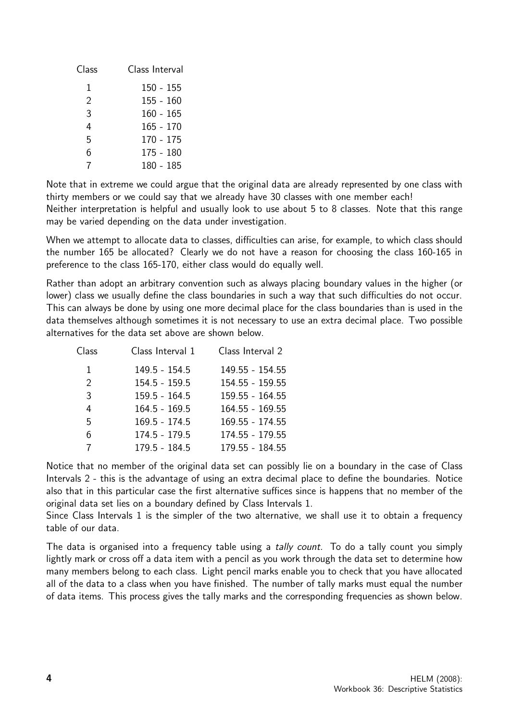| Class | Class Interval |
|-------|----------------|
| 1     | $150 - 155$    |
| 2     | $155 - 160$    |
| 3     | $160 - 165$    |
| 4     | $165 - 170$    |
| 5     | 170 - 175      |
| 6     | 175 - 180      |
| 7     | 180 - 185      |

Note that in extreme we could argue that the original data are already represented by one class with thirty members or we could say that we already have 30 classes with one member each! Neither interpretation is helpful and usually look to use about 5 to 8 classes. Note that this range may be varied depending on the data under investigation.

When we attempt to allocate data to classes, difficulties can arise, for example, to which class should the number 165 be allocated? Clearly we do not have a reason for choosing the class 160-165 in preference to the class 165-170, either class would do equally well.

Rather than adopt an arbitrary convention such as always placing boundary values in the higher (or lower) class we usually define the class boundaries in such a way that such difficulties do not occur. This can always be done by using one more decimal place for the class boundaries than is used in the data themselves although sometimes it is not necessary to use an extra decimal place. Two possible alternatives for the data set above are shown below.

| Class         | Class Interval 1 | Class Interval 2 |
|---------------|------------------|------------------|
| 1             | $149.5 - 154.5$  | 149.55 - 154.55  |
| $\mathcal{P}$ | $154.5 - 159.5$  | 154.55 - 159.55  |
| 3             | $159.5 - 164.5$  | 159.55 - 164.55  |
| 4             | $164.5 - 169.5$  | 164.55 - 169.55  |
| 5             | $169.5 - 174.5$  | 169.55 - 174.55  |
| 6             | 174.5 - 179.5    | 174.55 - 179.55  |
| 7             | $179.5 - 184.5$  | 179.55 - 184.55  |

Notice that no member of the original data set can possibly lie on a boundary in the case of Class Intervals 2 - this is the advantage of using an extra decimal place to define the boundaries. Notice also that in this particular case the first alternative suffices since is happens that no member of the original data set lies on a boundary defined by Class Intervals 1.

Since Class Intervals 1 is the simpler of the two alternative, we shall use it to obtain a frequency table of our data.

The data is organised into a frequency table using a tally count. To do a tally count you simply lightly mark or cross off a data item with a pencil as you work through the data set to determine how many members belong to each class. Light pencil marks enable you to check that you have allocated all of the data to a class when you have finished. The number of tally marks must equal the number of data items. This process gives the tally marks and the corresponding frequencies as shown below.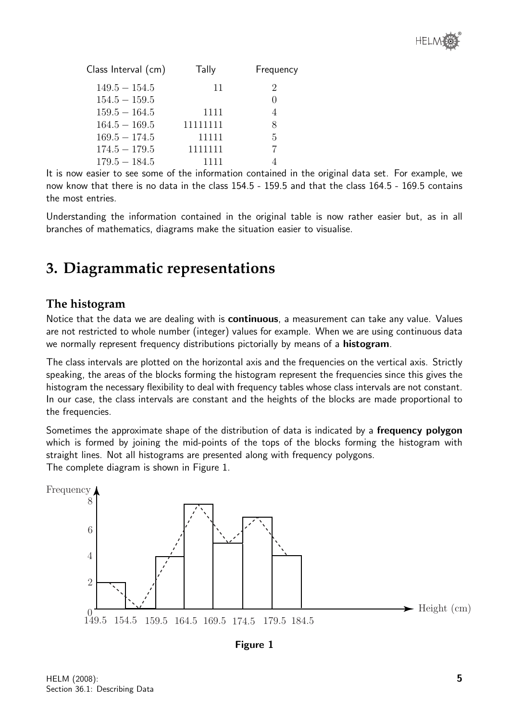

| Class Interval (cm) | Tally    | Frequency        |
|---------------------|----------|------------------|
| $149.5 - 154.5$     | 11       | 2                |
| $154.5 - 159.5$     |          | $\left( \right)$ |
| $159.5 - 164.5$     | 1111     | 4                |
| $164.5 - 169.5$     | 11111111 | 8                |
| $169.5 - 174.5$     | 11111    | 5                |
| $174.5 - 179.5$     | 1111111  |                  |
| $179.5 - 184.5$     | 1111     |                  |

It is now easier to see some of the information contained in the original data set. For example, we now know that there is no data in the class 154.5 - 159.5 and that the class 164.5 - 169.5 contains the most entries.

Understanding the information contained in the original table is now rather easier but, as in all branches of mathematics, diagrams make the situation easier to visualise.

## **3. Diagrammatic representations**

#### **The histogram**

Notice that the data we are dealing with is **continuous**, a measurement can take any value. Values are not restricted to whole number (integer) values for example. When we are using continuous data we normally represent frequency distributions pictorially by means of a histogram.

The class intervals are plotted on the horizontal axis and the frequencies on the vertical axis. Strictly speaking, the areas of the blocks forming the histogram represent the frequencies since this gives the histogram the necessary flexibility to deal with frequency tables whose class intervals are not constant. In our case, the class intervals are constant and the heights of the blocks are made proportional to the frequencies.

Sometimes the approximate shape of the distribution of data is indicated by a **frequency polygon** which is formed by joining the mid-points of the tops of the blocks forming the histogram with straight lines. Not all histograms are presented along with frequency polygons. The complete diagram is shown in Figure 1.



Figure 1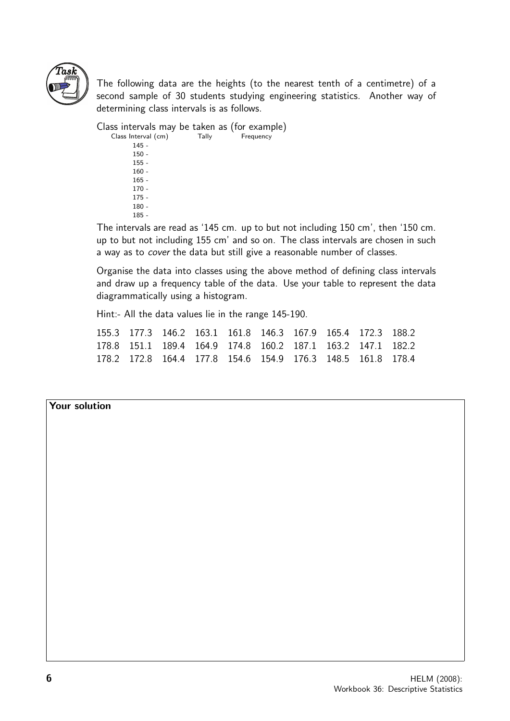

The following data are the heights (to the nearest tenth of a centimetre) of a second sample of 30 students studying engineering statistics. Another way of determining class intervals is as follows.

Class intervals may be taken as (for example)<br>Class Interval (cm) Tally Frequency Class Interval (cm) 145 - 150 - 155 - 160 - 165 -  $170 -$ 175 - 180 -

185 -

The intervals are read as '145 cm. up to but not including 150 cm', then '150 cm. up to but not including 155 cm' and so on. The class intervals are chosen in such a way as to cover the data but still give a reasonable number of classes.

Organise the data into classes using the above method of defining class intervals and draw up a frequency table of the data. Use your table to represent the data diagrammatically using a histogram.

Hint:- All the data values lie in the range 145-190.

155.3 177.3 146.2 163.1 161.8 146.3 167.9 165.4 172.3 188.2 178.8 151.1 189.4 164.9 174.8 160.2 187.1 163.2 147.1 182.2 178.2 172.8 164.4 177.8 154.6 154.9 176.3 148.5 161.8 178.4

#### Your solution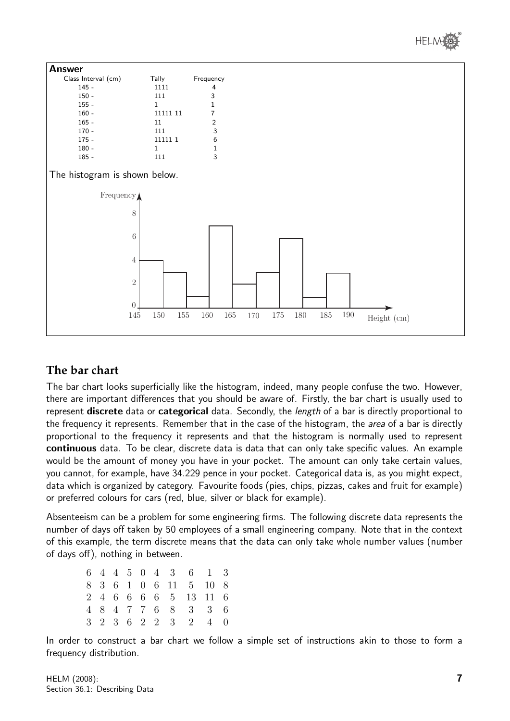



#### **The bar chart**

The bar chart looks superficially like the histogram, indeed, many people confuse the two. However, there are important differences that you should be aware of. Firstly, the bar chart is usually used to represent discrete data or categorical data. Secondly, the length of a bar is directly proportional to the frequency it represents. Remember that in the case of the histogram, the *area* of a bar is directly proportional to the frequency it represents and that the histogram is normally used to represent continuous data. To be clear, discrete data is data that can only take specific values. An example would be the amount of money you have in your pocket. The amount can only take certain values, you cannot, for example, have 34.229 pence in your pocket. Categorical data is, as you might expect, data which is organized by category. Favourite foods (pies, chips, pizzas, cakes and fruit for example) or preferred colours for cars (red, blue, silver or black for example).

Absenteeism can be a problem for some engineering firms. The following discrete data represents the number of days off taken by 50 employees of a small engineering company. Note that in the context of this example, the term discrete means that the data can only take whole number values (number of days off), nothing in between.

|  |  |  |  | 6 4 4 5 0 4 3 6 1 3   |  |
|--|--|--|--|-----------------------|--|
|  |  |  |  | 8 3 6 1 0 6 11 5 10 8 |  |
|  |  |  |  | 2 4 6 6 6 6 5 13 11 6 |  |
|  |  |  |  | 4 8 4 7 7 6 8 3 3 6   |  |
|  |  |  |  | 3 2 3 6 2 2 3 2 4 0   |  |

In order to construct a bar chart we follow a simple set of instructions akin to those to form a frequency distribution.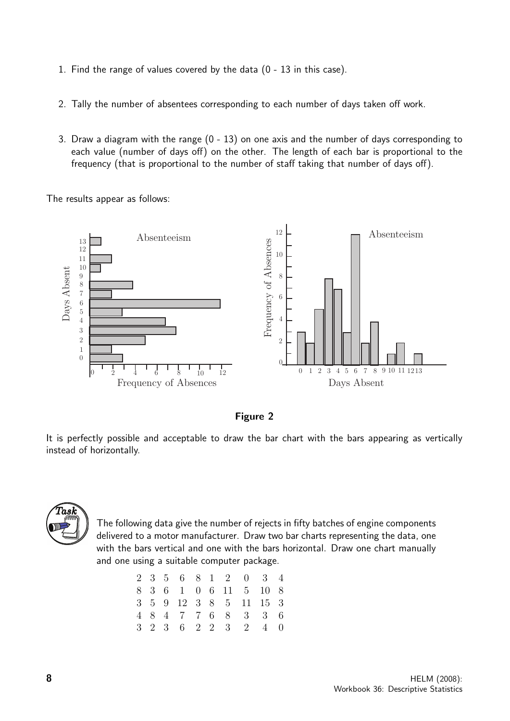- 1. Find the range of values covered by the data (0 13 in this case).
- 2. Tally the number of absentees corresponding to each number of days taken off work.
- 3. Draw a diagram with the range (0 13) on one axis and the number of days corresponding to each value (number of days off) on the other. The length of each bar is proportional to the frequency (that is proportional to the number of staff taking that number of days off).

The results appear as follows:

![](_page_7_Figure_4.jpeg)

Figure 2

It is perfectly possible and acceptable to draw the bar chart with the bars appearing as vertically instead of horizontally.

![](_page_7_Picture_7.jpeg)

The following data give the number of rejects in fifty batches of engine components delivered to a motor manufacturer. Draw two bar charts representing the data, one with the bars vertical and one with the bars horizontal. Draw one chart manually and one using a suitable computer package.

|  |  |  |  | 2 3 5 6 8 1 2 0 3 4    |  |
|--|--|--|--|------------------------|--|
|  |  |  |  | 8 3 6 1 0 6 11 5 10 8  |  |
|  |  |  |  | 3 5 9 12 3 8 5 11 15 3 |  |
|  |  |  |  | 4 8 4 7 7 6 8 3 3 6    |  |
|  |  |  |  | 3 2 3 6 2 2 3 2 4 0    |  |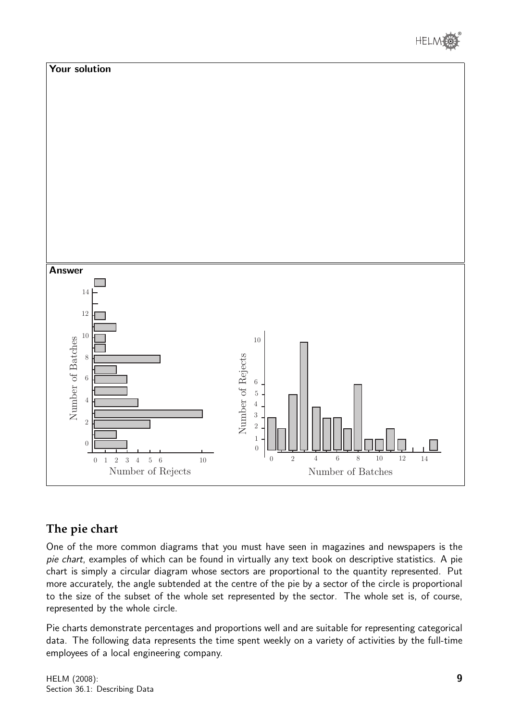![](_page_8_Picture_0.jpeg)

![](_page_8_Figure_1.jpeg)

#### **The pie chart**

One of the more common diagrams that you must have seen in magazines and newspapers is the pie chart, examples of which can be found in virtually any text book on descriptive statistics. A pie chart is simply a circular diagram whose sectors are proportional to the quantity represented. Put more accurately, the angle subtended at the centre of the pie by a sector of the circle is proportional to the size of the subset of the whole set represented by the sector. The whole set is, of course, represented by the whole circle.

Pie charts demonstrate percentages and proportions well and are suitable for representing categorical data. The following data represents the time spent weekly on a variety of activities by the full-time employees of a local engineering company.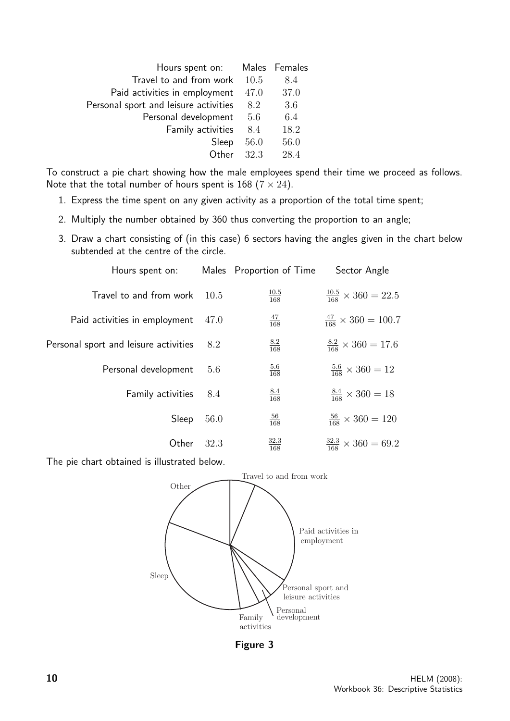| Hours spent on: Males Females         |      |      |
|---------------------------------------|------|------|
| Travel to and from work 10.5          |      | 8.4  |
| Paid activities in employment         | 47.0 | 37.0 |
| Personal sport and leisure activities | 8.2  | 3.6  |
| Personal development                  | 5.6  | 6.4  |
| Family activities                     | 8.4  | 18.2 |
| Sleep                                 | 56.0 | 56.0 |
| Other $32.3$                          |      | 28.4 |
|                                       |      |      |

To construct a pie chart showing how the male employees spend their time we proceed as follows. Note that the total number of hours spent is 168 ( $7 \times 24$ ).

- 1. Express the time spent on any given activity as a proportion of the total time spent;
- 2. Multiply the number obtained by 360 thus converting the proportion to an angle;
- 3. Draw a chart consisting of (in this case) 6 sectors having the angles given in the chart below subtended at the centre of the circle.

| Hours spent on:                       |      | Males Proportion of Time | Sector Angle                         |
|---------------------------------------|------|--------------------------|--------------------------------------|
| Travel to and from work               | 10.5 | $\frac{10.5}{168}$       | $\frac{10.5}{168} \times 360 = 22.5$ |
| Paid activities in employment         | 47.0 | $\frac{47}{168}$         | $\frac{47}{168} \times 360 = 100.7$  |
| Personal sport and leisure activities | 8.2  | $\frac{8.2}{168}$        | $\frac{8.2}{168} \times 360 = 17.6$  |
| Personal development                  | 5.6  | $\frac{5.6}{168}$        | $\frac{5.6}{168} \times 360 = 12$    |
| Family activities                     | 8.4  | $\frac{8.4}{168}$        | $\frac{8.4}{168} \times 360 = 18$    |
| Sleep                                 | 56.0 | $\frac{56}{168}$         | $\frac{56}{168} \times 360 = 120$    |
| Other                                 | 32.3 | $\frac{32.3}{168}$       | $\frac{32.3}{168} \times 360 = 69.2$ |

The pie chart obtained is illustrated below.

![](_page_9_Figure_7.jpeg)

Figure 3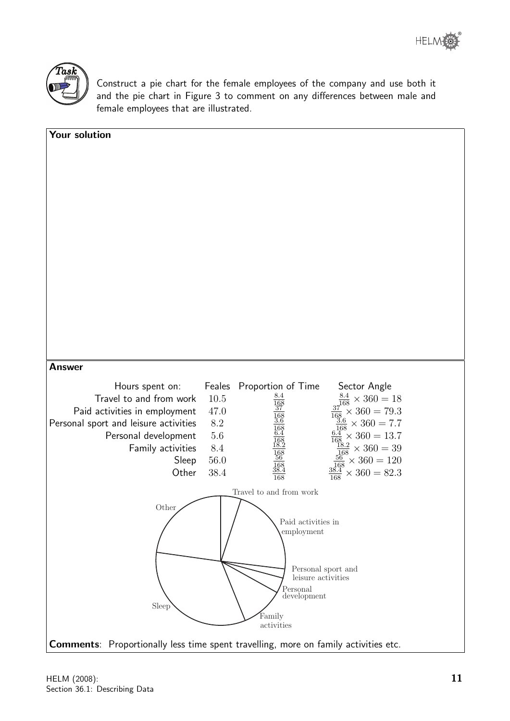![](_page_10_Picture_1.jpeg)

Construct a pie chart for the female employees of the company and use both it and the pie chart in Figure 3 to comment on any differences between male and female employees that are illustrated.

| Your solution                                                 |                                                                                                                                                                                                                                                        |
|---------------------------------------------------------------|--------------------------------------------------------------------------------------------------------------------------------------------------------------------------------------------------------------------------------------------------------|
|                                                               |                                                                                                                                                                                                                                                        |
|                                                               |                                                                                                                                                                                                                                                        |
|                                                               |                                                                                                                                                                                                                                                        |
|                                                               |                                                                                                                                                                                                                                                        |
|                                                               |                                                                                                                                                                                                                                                        |
|                                                               |                                                                                                                                                                                                                                                        |
|                                                               |                                                                                                                                                                                                                                                        |
|                                                               |                                                                                                                                                                                                                                                        |
|                                                               |                                                                                                                                                                                                                                                        |
|                                                               |                                                                                                                                                                                                                                                        |
|                                                               |                                                                                                                                                                                                                                                        |
|                                                               |                                                                                                                                                                                                                                                        |
|                                                               |                                                                                                                                                                                                                                                        |
| <b>Answer</b>                                                 |                                                                                                                                                                                                                                                        |
| Hours spent on:                                               | Feales<br>Sector Angle<br>Proportion of Time                                                                                                                                                                                                           |
| Travel to and from work                                       | <u>8.4</u><br>$\frac{8.4}{168} \times 360 = 18$<br>$\frac{37}{168} \times 360 = 79.3$<br>$\frac{3.6}{168} \times 360 = 7.7$<br>$\frac{6.4}{168} \times 360 = 13.7$<br>$\frac{18.2}{168} \times 360 = 39$<br>$\frac{18.2}{168} \times 360 = 39$<br>10.5 |
| Paid activities in employment                                 | 47.0                                                                                                                                                                                                                                                   |
| Personal sport and leisure activities<br>Personal development | 8.2<br>$\frac{168}{6.4}$<br>$5.6\,$                                                                                                                                                                                                                    |
| Family activities                                             | $8.4\,$                                                                                                                                                                                                                                                |
| Sleep                                                         | $\frac{168}{56}$<br>$\frac{56}{168} \times 360 = 120$<br>$56.0\,$                                                                                                                                                                                      |
| Other                                                         | 38.4<br>$\times 360 = 82.3$<br>$\frac{1}{168}$                                                                                                                                                                                                         |
|                                                               | Travel to and from work                                                                                                                                                                                                                                |
| Other                                                         |                                                                                                                                                                                                                                                        |
|                                                               | Paid activities in                                                                                                                                                                                                                                     |
|                                                               | employment                                                                                                                                                                                                                                             |
|                                                               |                                                                                                                                                                                                                                                        |
|                                                               | Personal sport and<br>leisure activities                                                                                                                                                                                                               |
|                                                               | Personal                                                                                                                                                                                                                                               |
| Sleep                                                         | development                                                                                                                                                                                                                                            |
|                                                               | Family<br>activities                                                                                                                                                                                                                                   |
|                                                               | Comments: Proportionally less time spent travelling, more on family activities etc.                                                                                                                                                                    |
|                                                               |                                                                                                                                                                                                                                                        |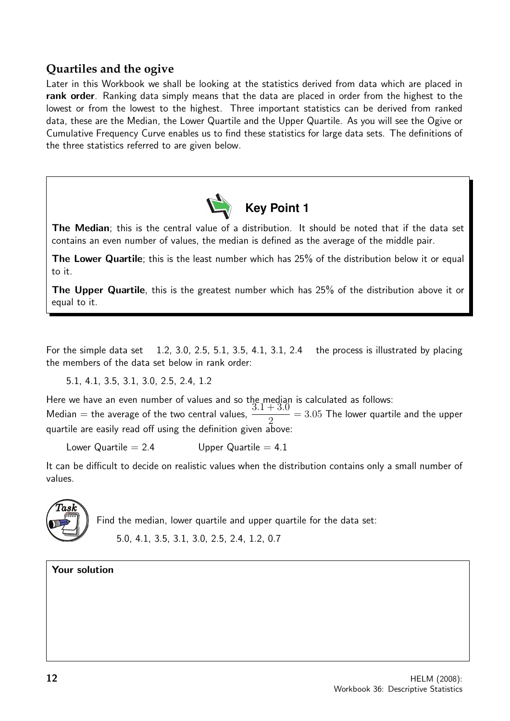#### **Quartiles and the ogive**

Later in this Workbook we shall be looking at the statistics derived from data which are placed in rank order. Ranking data simply means that the data are placed in order from the highest to the lowest or from the lowest to the highest. Three important statistics can be derived from ranked data, these are the Median, the Lower Quartile and the Upper Quartile. As you will see the Ogive or Cumulative Frequency Curve enables us to find these statistics for large data sets. The definitions of the three statistics referred to are given below.

![](_page_11_Picture_2.jpeg)

The Median; this is the central value of a distribution. It should be noted that if the data set contains an even number of values, the median is defined as the average of the middle pair.

The Lower Quartile; this is the least number which has 25% of the distribution below it or equal to it.

The Upper Quartile, this is the greatest number which has 25% of the distribution above it or equal to it.

For the simple data set 1.2, 3.0, 2.5, 5.1, 3.5, 4.1, 3.1, 2.4 the process is illustrated by placing the members of the data set below in rank order:

5.1, 4.1, 3.5, 3.1, 3.0, 2.5, 2.4, 1.2

Here we have an even number of values and so the median is calculated as follows:<br>Madien the suggest of the two control values  $3.1 + 3.0 = 3.05$  The lower quarti Median = the average of the two central values,  $\frac{9.1}{4}$ 2  $\frac{6}{5}$   $=$  3.05 The lower quartile and the upper quartile are easily read off using the definition given above:

Lower Quartile  $= 2.4$  Upper Quartile  $= 4.1$ 

It can be difficult to decide on realistic values when the distribution contains only a small number of values.

![](_page_11_Picture_11.jpeg)

Find the median, lower quartile and upper quartile for the data set: 5.0, 4.1, 3.5, 3.1, 3.0, 2.5, 2.4, 1.2, 0.7

Your solution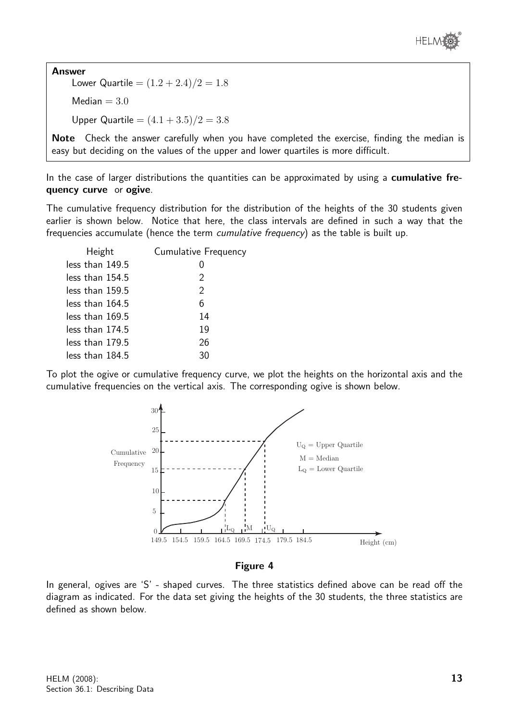![](_page_12_Picture_0.jpeg)

Answer Lower Quartile =  $(1.2 + 2.4)/2 = 1.8$ Median  $= 3.0$ Upper Quartile  $= (4.1 + 3.5)/2 = 3.8$ 

Note Check the answer carefully when you have completed the exercise, finding the median is easy but deciding on the values of the upper and lower quartiles is more difficult.

In the case of larger distributions the quantities can be approximated by using a **cumulative fre**quency curve or ogive.

The cumulative frequency distribution for the distribution of the heights of the 30 students given earlier is shown below. Notice that here, the class intervals are defined in such a way that the frequencies accumulate (hence the term cumulative frequency) as the table is built up.

| Height          | Cumulative Frequency |
|-----------------|----------------------|
| less than 149.5 | $\mathcal{O}$        |
| less than 154.5 | 2                    |
| less than 159.5 | 2                    |
| less than 164.5 | 6                    |
| less than 169.5 | 14                   |
| less than 174.5 | 19                   |
| less than 179.5 | 26                   |
| less than 184.5 | 30                   |

To plot the ogive or cumulative frequency curve, we plot the heights on the horizontal axis and the cumulative frequencies on the vertical axis. The corresponding ogive is shown below.

![](_page_12_Figure_7.jpeg)

#### Figure 4

In general, ogives are 'S' - shaped curves. The three statistics defined above can be read off the diagram as indicated. For the data set giving the heights of the 30 students, the three statistics are defined as shown below.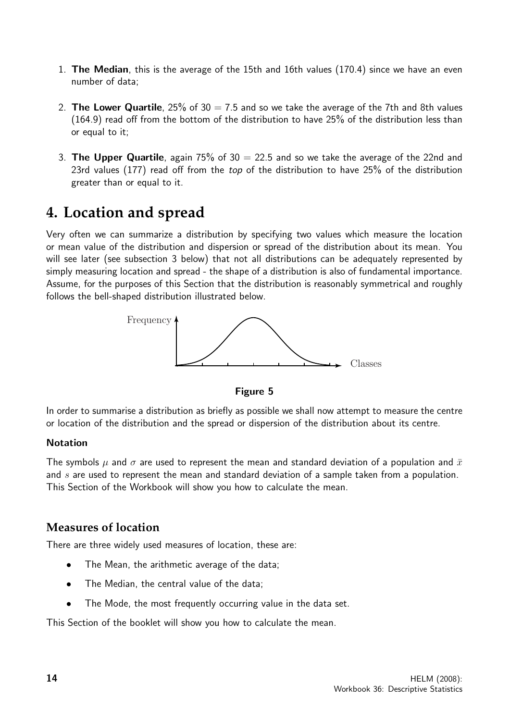- 1. The Median, this is the average of the 15th and 16th values (170.4) since we have an even number of data;
- 2. The Lower Quartile,  $25\%$  of  $30 = 7.5$  and so we take the average of the 7th and 8th values (164.9) read off from the bottom of the distribution to have 25% of the distribution less than or equal to it;
- 3. The Upper Quartile, again 75% of  $30 = 22.5$  and so we take the average of the 22nd and 23rd values (177) read off from the top of the distribution to have 25% of the distribution greater than or equal to it.

## **4. Location and spread**

Very often we can summarize a distribution by specifying two values which measure the location or mean value of the distribution and dispersion or spread of the distribution about its mean. You will see later (see subsection 3 below) that not all distributions can be adequately represented by simply measuring location and spread - the shape of a distribution is also of fundamental importance. Assume, for the purposes of this Section that the distribution is reasonably symmetrical and roughly follows the bell-shaped distribution illustrated below.

![](_page_13_Figure_5.jpeg)

![](_page_13_Figure_6.jpeg)

In order to summarise a distribution as briefly as possible we shall now attempt to measure the centre or location of the distribution and the spread or dispersion of the distribution about its centre.

#### **Notation**

The symbols  $\mu$  and  $\sigma$  are used to represent the mean and standard deviation of a population and  $\bar{x}$ and  $s$  are used to represent the mean and standard deviation of a sample taken from a population. This Section of the Workbook will show you how to calculate the mean.

#### **Measures of location**

There are three widely used measures of location, these are:

- The Mean, the arithmetic average of the data;
- The Median, the central value of the data;
- The Mode, the most frequently occurring value in the data set.

This Section of the booklet will show you how to calculate the mean.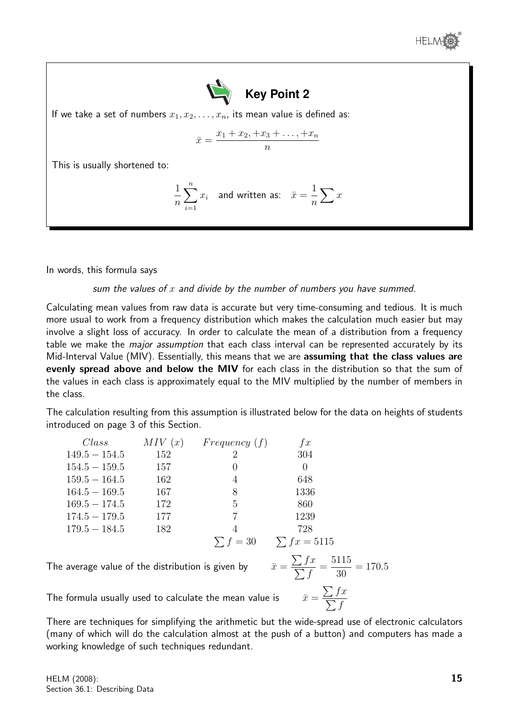![](_page_14_Picture_0.jpeg)

![](_page_14_Picture_1.jpeg)

If we take a set of numbers  $x_1, x_2, \ldots, x_n$ , its mean value is defined as:

$$
\bar{x} = \frac{x_1 + x_2 + x_3 + \dots + x_n}{n}
$$

This is usually shortened to:

$$
\frac{1}{n}\sum_{i=1}^{n}x_{i}
$$
 and written as:  $\bar{x} = \frac{1}{n}\sum x$ 

In words, this formula says

sum the values of  $x$  and divide by the number of numbers you have summed.

Calculating mean values from raw data is accurate but very time-consuming and tedious. It is much more usual to work from a frequency distribution which makes the calculation much easier but may involve a slight loss of accuracy. In order to calculate the mean of a distribution from a frequency table we make the *major assumption* that each class interval can be represented accurately by its Mid-Interval Value (MIV). Essentially, this means that we are assuming that the class values are evenly spread above and below the MIV for each class in the distribution so that the sum of the values in each class is approximately equal to the MIV multiplied by the number of members in the class.

The calculation resulting from this assumption is illustrated below for the data on heights of students introduced on page 3 of this Section.

| Class           | MIV(x) | Frequency(f)     | f(x)             |
|-----------------|--------|------------------|------------------|
| $149.5 - 154.5$ | 152    | 2                | 304              |
| $154.5 - 159.5$ | 157    | $\left( \right)$ | 0                |
| $159.5 - 164.5$ | 162    | 4                | 648              |
| $164.5 - 169.5$ | 167    | 8                | 1336             |
| $169.5 - 174.5$ | 172    | 5                | 860              |
| $174.5 - 179.5$ | 177    |                  | 1239             |
| $179.5 - 184.5$ | 182    | 4                | 728              |
|                 |        | $\sum f = 30$    | $\sum fx = 5115$ |

The average value of the distribution is given by

$$
\bar{x} = \frac{\sum fx}{\sum f} = \frac{5115}{30} = 170.5
$$

 $\sum fx$  $\sum f$ 

The formula usually used to calculate the mean value is

There are techniques for simplifying the arithmetic but the wide-spread use of electronic calculators (many of which will do the calculation almost at the push of a button) and computers has made a working knowledge of such techniques redundant.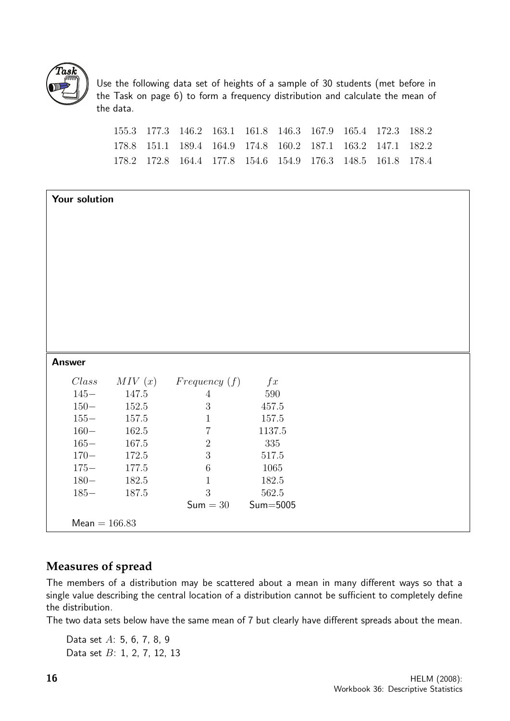![](_page_15_Picture_0.jpeg)

Use the following data set of heights of a sample of 30 students (met before in the Task on page 6) to form a frequency distribution and calculate the mean of the data.

| 155.3 177.3 146.2 163.1 161.8 146.3 167.9 165.4 172.3 188.2 |  |  |  |  |
|-------------------------------------------------------------|--|--|--|--|
| 178.8 151.1 189.4 164.9 174.8 160.2 187.1 163.2 147.1 182.2 |  |  |  |  |
| 178.2 172.8 164.4 177.8 154.6 154.9 176.3 148.5 161.8 178.4 |  |  |  |  |

|               | Your solution   |                     |           |  |  |  |  |
|---------------|-----------------|---------------------|-----------|--|--|--|--|
|               |                 |                     |           |  |  |  |  |
|               |                 |                     |           |  |  |  |  |
|               |                 |                     |           |  |  |  |  |
|               |                 |                     |           |  |  |  |  |
|               |                 |                     |           |  |  |  |  |
|               |                 |                     |           |  |  |  |  |
|               |                 |                     |           |  |  |  |  |
|               |                 |                     |           |  |  |  |  |
|               |                 |                     |           |  |  |  |  |
| <b>Answer</b> |                 |                     |           |  |  |  |  |
| Class         | MIV(x)          | Frequency(f)        | f(x)      |  |  |  |  |
| $145 -$       | 147.5           | $\overline{4}$      | $590\,$   |  |  |  |  |
| $150 -$       | 152.5           | $\mathfrak{Z}$      | $457.5\,$ |  |  |  |  |
| $155 -$       | 157.5           | $\mathbf{1}$        | 157.5     |  |  |  |  |
| $160 -$       | 162.5           | $\,7$               | 1137.5    |  |  |  |  |
| $165 -$       | 167.5           | $\sqrt{2}$          | 335       |  |  |  |  |
| $170 -$       | 172.5           | $\overline{3}$      | 517.5     |  |  |  |  |
| $175 -$       | 177.5           | $\,6\,$             | 1065      |  |  |  |  |
| $180 -$       | 182.5           | $\mathbf{1}$        | 182.5     |  |  |  |  |
| $185 -$       | 187.5           | $\sqrt{3}$          | 562.5     |  |  |  |  |
|               |                 | $Sum = 30$ Sum=5005 |           |  |  |  |  |
|               | $Mean = 166.83$ |                     |           |  |  |  |  |

#### **Measures of spread**

The members of a distribution may be scattered about a mean in many different ways so that a single value describing the central location of a distribution cannot be sufficient to completely define the distribution.

The two data sets below have the same mean of 7 but clearly have different spreads about the mean.

Data set A: 5, 6, 7, 8, 9 Data set B: 1, 2, 7, 12, 13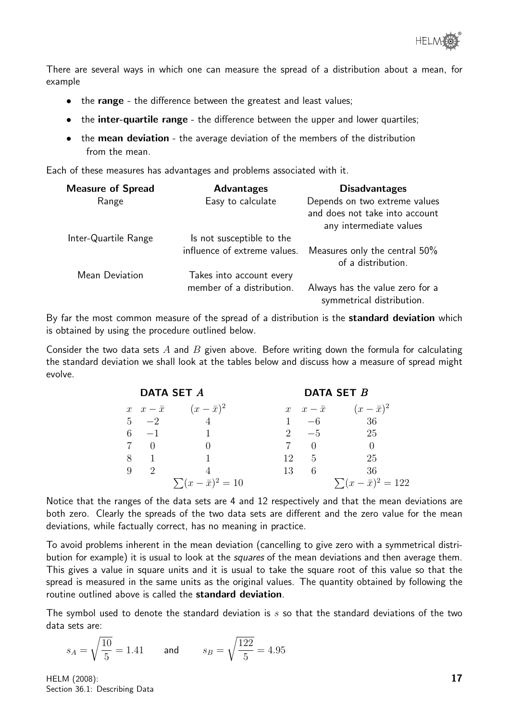![](_page_16_Picture_0.jpeg)

There are several ways in which one can measure the spread of a distribution about a mean, for example

- the range the difference between the greatest and least values;
- the **inter-quartile range** the difference between the upper and lower quartiles:
- the mean deviation the average deviation of the members of the distribution from the mean.

Each of these measures has advantages and problems associated with it.

| <b>Measure of Spread</b> | <b>Advantages</b>            | <b>Disadvantages</b>                                                                       |
|--------------------------|------------------------------|--------------------------------------------------------------------------------------------|
| Range                    | Easy to calculate            | Depends on two extreme values<br>and does not take into account<br>any intermediate values |
| Inter-Quartile Range     | Is not susceptible to the    |                                                                                            |
|                          | influence of extreme values. | Measures only the central 50%<br>of a distribution.                                        |
| Mean Deviation           | Takes into account every     |                                                                                            |
|                          | member of a distribution.    | Always has the value zero for a<br>symmetrical distribution.                               |

By far the most common measure of the spread of a distribution is the standard deviation which is obtained by using the procedure outlined below.

Consider the two data sets  $A$  and  $B$  given above. Before writing down the formula for calculating the standard deviation we shall look at the tables below and discuss how a measure of spread might evolve.

|             | DATA SET A                                  | DATA SET B   |                                             |  |  |
|-------------|---------------------------------------------|--------------|---------------------------------------------|--|--|
|             | $x \quad x - \bar{x} \quad (x - \bar{x})^2$ |              | $x \quad x - \bar{x} \quad (x - \bar{x})^2$ |  |  |
|             | $5 -2$ 4                                    |              | $1 -6$ 36                                   |  |  |
| $6 -1$      |                                             | 2 $-5$       | -25                                         |  |  |
| 7 0         |                                             |              |                                             |  |  |
| 8 1         |                                             | 12 5         | 25                                          |  |  |
| $9 \quad 2$ |                                             | $13 \quad 6$ | -36                                         |  |  |
|             | $\sum (x - \bar{x})^2 = 10$                 |              | $\sum (x - \bar{x})^2 = 122$                |  |  |

Notice that the ranges of the data sets are 4 and 12 respectively and that the mean deviations are both zero. Clearly the spreads of the two data sets are different and the zero value for the mean deviations, while factually correct, has no meaning in practice.

To avoid problems inherent in the mean deviation (cancelling to give zero with a symmetrical distribution for example) it is usual to look at the squares of the mean deviations and then average them. This gives a value in square units and it is usual to take the square root of this value so that the spread is measured in the same units as the original values. The quantity obtained by following the routine outlined above is called the standard deviation.

The symbol used to denote the standard deviation is  $s$  so that the standard deviations of the two data sets are:

$$
s_A = \sqrt{\frac{10}{5}} = 1.41 \qquad \text{and} \qquad s_B = \sqrt{\frac{122}{5}} = 4.95
$$

HELM (2008): Section 36.1: Describing Data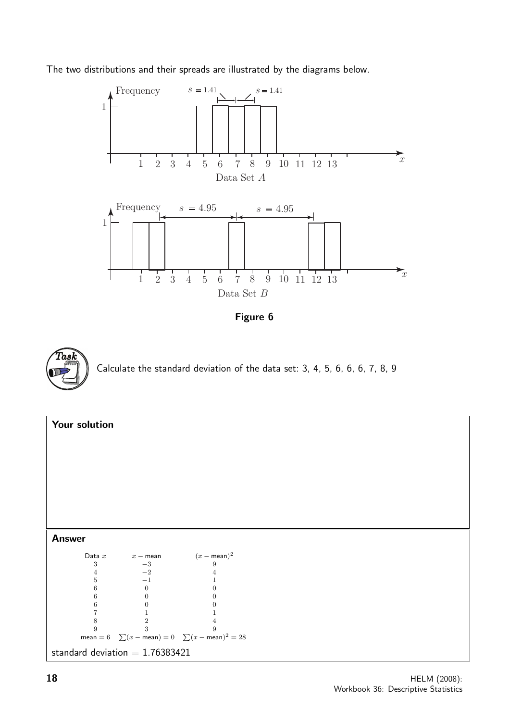The two distributions and their spreads are illustrated by the diagrams below.

![](_page_17_Figure_1.jpeg)

![](_page_17_Figure_2.jpeg)

![](_page_17_Picture_3.jpeg)

![](_page_17_Figure_4.jpeg)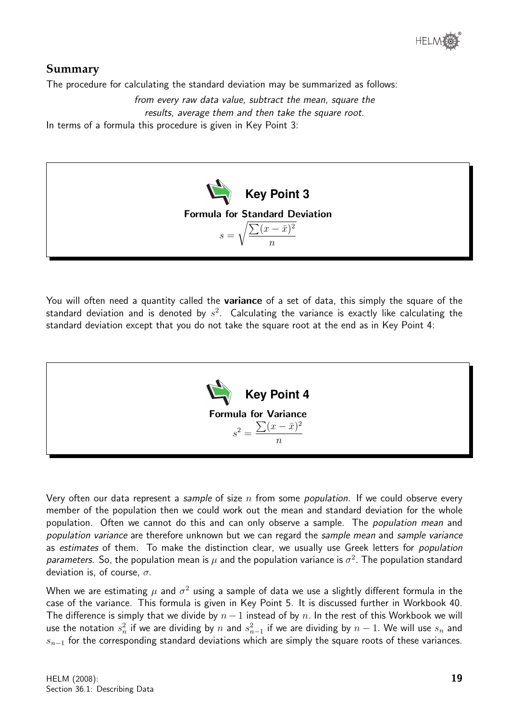![](_page_18_Picture_0.jpeg)

#### **Summary**

The procedure for calculating the standard deviation may be summarized as follows:

from every raw data value, subtract the mean, square the results, average them and then take the square root. In terms of a formula this procedure is given in Key Point 3:

![](_page_18_Picture_4.jpeg)

You will often need a quantity called the **variance** of a set of data, this simply the square of the standard deviation and is denoted by  $s^2$ . Calculating the variance is exactly like calculating the standard deviation except that you do not take the square root at the end as in Key Point 4:

![](_page_18_Figure_6.jpeg)

Very often our data represent a sample of size  $n$  from some population. If we could observe every member of the population then we could work out the mean and standard deviation for the whole population. Often we cannot do this and can only observe a sample. The *population mean* and population variance are therefore unknown but we can regard the sample mean and sample variance as estimates of them. To make the distinction clear, we usually use Greek letters for population parameters. So, the population mean is  $\mu$  and the population variance is  $\sigma^2$ . The population standard deviation is, of course,  $\sigma$ .

When we are estimating  $\mu$  and  $\sigma^2$  using a sample of data we use a slightly different formula in the case of the variance. This formula is given in Key Point 5. It is discussed further in Workbook 40. The difference is simply that we divide by  $n-1$  instead of by n. In the rest of this Workbook we will use the notation  $s_n^2$  if we are dividing by  $n$  and  $s_{n-1}^2$  if we are dividing by  $n-1.$  We will use  $s_n$  and  $s_{n-1}$  for the corresponding standard deviations which are simply the square roots of these variances.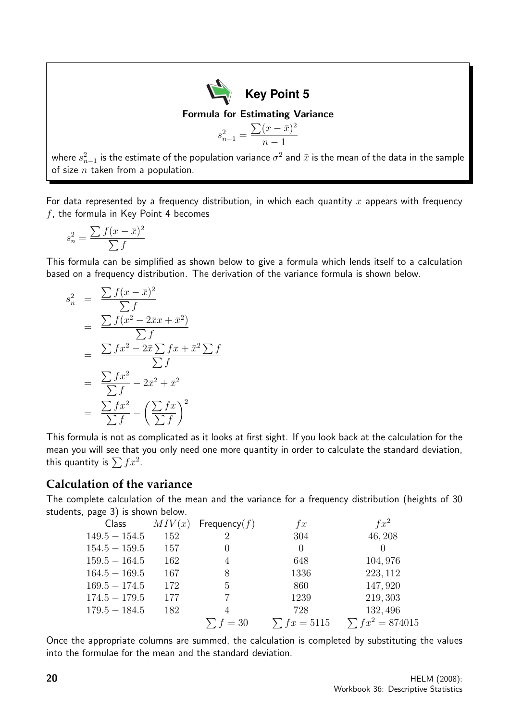![](_page_19_Picture_0.jpeg)

$$
s_{n-1}^2 = \frac{\sum (x - \bar{x})^2}{n - 1}
$$

where  $s_{n-1}^2$  is the estimate of the population variance  $\sigma^2$  and  $\bar{x}$  is the mean of the data in the sample of size  $n$  taken from a population.

For data represented by a frequency distribution, in which each quantity x appears with frequency  $f$ , the formula in Key Point 4 becomes

$$
s_n^2 = \frac{\sum f(x - \bar{x})^2}{\sum f}
$$

This formula can be simplified as shown below to give a formula which lends itself to a calculation based on a frequency distribution. The derivation of the variance formula is shown below.

$$
s_n^2 = \frac{\sum f(x - \bar{x})^2}{\sum f}
$$
  
= 
$$
\frac{\sum f(x^2 - 2\bar{x}x + \bar{x}^2)}{\sum f}
$$
  
= 
$$
\frac{\sum fx^2 - 2\bar{x} \sum fx + \bar{x}^2 \sum f}{\sum f}
$$
  
= 
$$
\frac{\sum fx^2}{\sum f} - 2\bar{x}^2 + \bar{x}^2
$$
  
= 
$$
\frac{\sum fx^2}{\sum f} - (\frac{\sum fx}{\sum f})^2
$$

This formula is not as complicated as it looks at first sight. If you look back at the calculation for the mean you will see that you only need one more quantity in order to calculate the standard deviation, this quantity is  $\sum fx^2$ .

#### **Calculation of the variance**

The complete calculation of the mean and the variance for a frequency distribution (heights of 30 students, page 3) is shown below.

| Class           | MIV(x) | Frequency $(f)$ | f(x)             | $f x^2$              |
|-----------------|--------|-----------------|------------------|----------------------|
| $149.5 - 154.5$ | 152    | 2               | 304              | 46,208               |
| $154.5 - 159.5$ | 157    |                 | $\Omega$         | $\theta$             |
| $159.5 - 164.5$ | 162    | 4               | 648              | 104, 976             |
| $164.5 - 169.5$ | 167    | 8               | 1336             | 223, 112             |
| $169.5 - 174.5$ | 172    | 5               | 860              | 147,920              |
| $174.5 - 179.5$ | 177    |                 | 1239             | 219, 303             |
| $179.5 - 184.5$ | 182    |                 | 728              | 132, 496             |
|                 |        | $\sum f = 30$   | $\sum fx = 5115$ | $\sum fx^2 = 874015$ |

Once the appropriate columns are summed, the calculation is completed by substituting the values into the formulae for the mean and the standard deviation.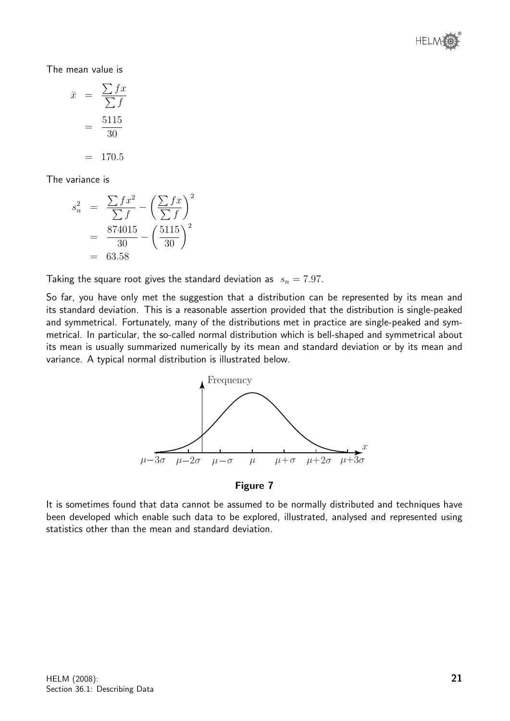![](_page_20_Picture_0.jpeg)

The mean value is

$$
\bar{x} = \frac{\sum fx}{\sum f}
$$

$$
= \frac{5115}{30}
$$

$$
= 170.5
$$

The variance is

$$
s_n^2 = \frac{\sum fx^2}{\sum f} - \left(\frac{\sum fx}{\sum f}\right)^2
$$
  
=  $\frac{874015}{30} - \left(\frac{5115}{30}\right)^2$   
= 63.58

Taking the square root gives the standard deviation as  $s_n = 7.97$ .

So far, you have only met the suggestion that a distribution can be represented by its mean and its standard deviation. This is a reasonable assertion provided that the distribution is single-peaked and symmetrical. Fortunately, many of the distributions met in practice are single-peaked and symmetrical. In particular, the so-called normal distribution which is bell-shaped and symmetrical about its mean is usually summarized numerically by its mean and standard deviation or by its mean and variance. A typical normal distribution is illustrated below.

![](_page_20_Figure_7.jpeg)

#### Figure 7

It is sometimes found that data cannot be assumed to be normally distributed and techniques have been developed which enable such data to be explored, illustrated, analysed and represented using statistics other than the mean and standard deviation.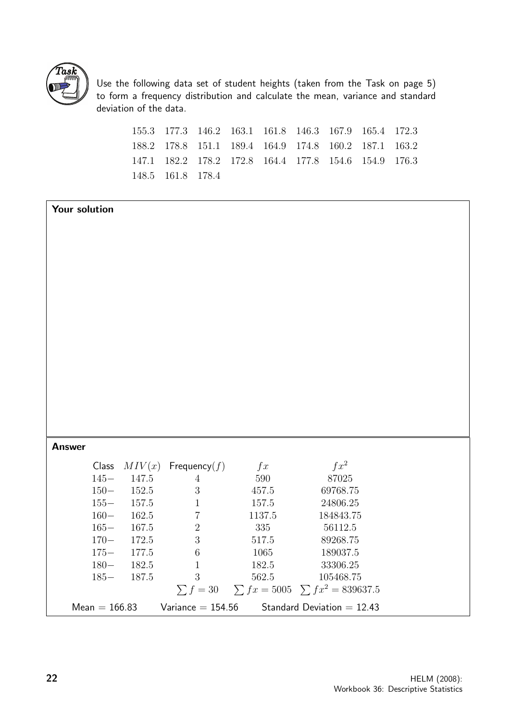![](_page_21_Picture_0.jpeg)

Use the following data set of student heights (taken from the Task on page 5) to form a frequency distribution and calculate the mean, variance and standard deviation of the data.

.3 177.3 146.2 163.1 161.8 146.3 167.9 165.4 172.3 .2 178.8 151.1 189.4 164.9 174.8 160.2 187.1 163.2 .1 182.2 178.2 172.8 164.4 177.8 154.6 154.9 176.3 .5 161.8 178.4

| Your solution |                 |       |                          |           |                                                       |  |
|---------------|-----------------|-------|--------------------------|-----------|-------------------------------------------------------|--|
|               |                 |       |                          |           |                                                       |  |
|               |                 |       |                          |           |                                                       |  |
|               |                 |       |                          |           |                                                       |  |
|               |                 |       |                          |           |                                                       |  |
|               |                 |       |                          |           |                                                       |  |
|               |                 |       |                          |           |                                                       |  |
|               |                 |       |                          |           |                                                       |  |
|               |                 |       |                          |           |                                                       |  |
|               |                 |       |                          |           |                                                       |  |
|               |                 |       |                          |           |                                                       |  |
|               |                 |       |                          |           |                                                       |  |
|               |                 |       |                          |           |                                                       |  |
|               |                 |       |                          |           |                                                       |  |
|               |                 |       |                          |           |                                                       |  |
|               |                 |       |                          |           |                                                       |  |
| <b>Answer</b> |                 |       |                          |           |                                                       |  |
|               | Class           |       | $MIV(x)$ Frequency $(f)$ | $\int x$  | $fx^2$                                                |  |
|               | $145 -$         | 147.5 | $\overline{4}$           | 590       | 87025                                                 |  |
|               | $150 -$         | 152.5 | $\sqrt{3}$               | $457.5\,$ | 69768.75                                              |  |
|               | $155 -$         | 157.5 | $\mathbf{1}$             | 157.5     | 24806.25                                              |  |
|               | $160 -$         | 162.5 | $\overline{7}$           | 1137.5    | 184843.75                                             |  |
|               | $165 -$         | 167.5 | $\sqrt{2}$               | $335\,$   | 56112.5                                               |  |
|               | $170 -$         | 172.5 | $\mathbf{3}$             | 517.5     | 89268.75                                              |  |
|               | $175 -$         | 177.5 | $6\phantom{.}6$          | 1065      | 189037.5                                              |  |
|               | $180 -$         | 182.5 | $\mathbf{1}$             | 182.5     | 33306.25                                              |  |
|               | $185 -$         | 187.5 | 3                        | 562.5     | 105468.75                                             |  |
|               |                 |       |                          |           | $\sum f = 30$ $\sum fx = 5005$ $\sum fx^2 = 839637.5$ |  |
|               | $Mean = 166.83$ |       | $Variance = 154.56$      |           | Standard Deviation $= 12.43$                          |  |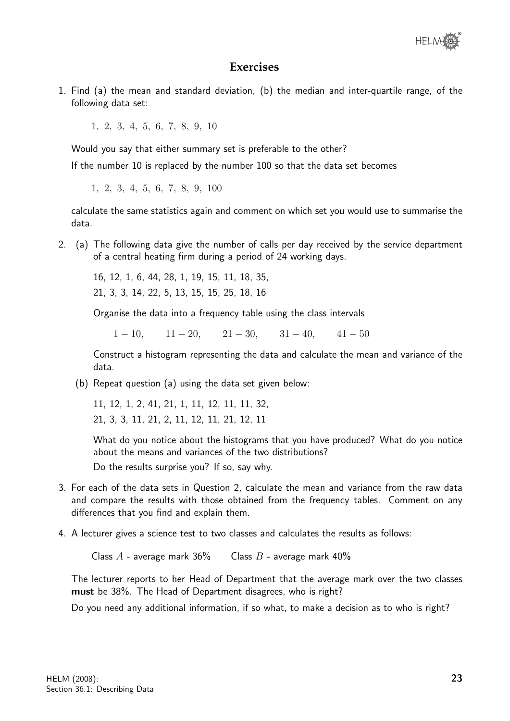![](_page_22_Picture_0.jpeg)

#### **Exercises**

1. Find (a) the mean and standard deviation, (b) the median and inter-quartile range, of the following data set:

1, 2, 3, 4, 5, 6, 7, 8, 9, 10

Would you say that either summary set is preferable to the other?

If the number 10 is replaced by the number 100 so that the data set becomes

1, 2, 3, 4, 5, 6, 7, 8, 9, 100

calculate the same statistics again and comment on which set you would use to summarise the data.

2. (a) The following data give the number of calls per day received by the service department of a central heating firm during a period of 24 working days.

16, 12, 1, 6, 44, 28, 1, 19, 15, 11, 18, 35, 21, 3, 3, 14, 22, 5, 13, 15, 15, 25, 18, 16

Organise the data into a frequency table using the class intervals

 $1 - 10$ ,  $11 - 20$ ,  $21 - 30$ ,  $31 - 40$ ,  $41 - 50$ 

Construct a histogram representing the data and calculate the mean and variance of the data.

(b) Repeat question (a) using the data set given below:

11, 12, 1, 2, 41, 21, 1, 11, 12, 11, 11, 32, 21, 3, 3, 11, 21, 2, 11, 12, 11, 21, 12, 11

What do you notice about the histograms that you have produced? What do you notice about the means and variances of the two distributions? Do the results surprise you? If so, say why.

- 3. For each of the data sets in Question 2, calculate the mean and variance from the raw data and compare the results with those obtained from the frequency tables. Comment on any differences that you find and explain them.
- 4. A lecturer gives a science test to two classes and calculates the results as follows:

Class  $A$  - average mark 36% Class  $B$  - average mark 40%

The lecturer reports to her Head of Department that the average mark over the two classes must be 38%. The Head of Department disagrees, who is right?

Do you need any additional information, if so what, to make a decision as to who is right?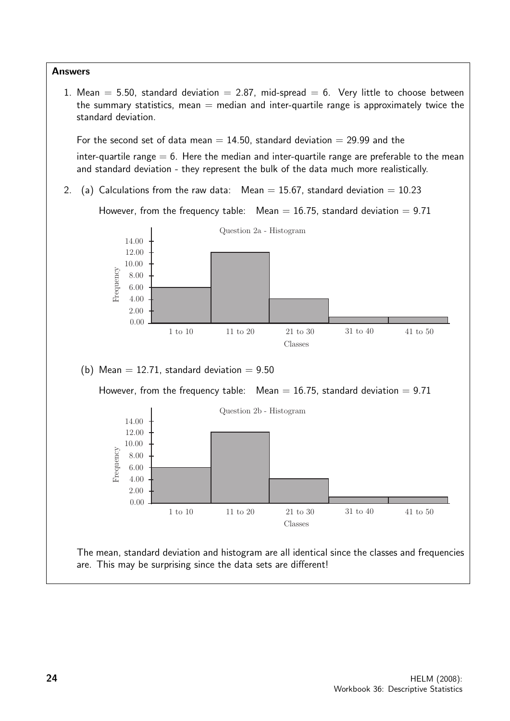![](_page_23_Figure_0.jpeg)

1. Mean  $= 5.50$ , standard deviation  $= 2.87$ , mid-spread  $= 6$ . Very little to choose between the summary statistics, mean  $=$  median and inter-quartile range is approximately twice the standard deviation.

For the second set of data mean  $= 14.50$ , standard deviation  $= 29.99$  and the

inter-quartile range  $= 6$ . Here the median and inter-quartile range are preferable to the mean and standard deviation - they represent the bulk of the data much more realistically.

2. (a) Calculations from the raw data: Mean  $= 15.67$ , standard deviation  $= 10.23$ 

However, from the frequency table:  $Mean = 16.75$ , standard deviation = 9.71

![](_page_23_Figure_6.jpeg)

The mean, standard deviation and histogram are all identical since the classes and frequencies are. This may be surprising since the data sets are different!

1 to 10 11 to 20 21 to 30 31 to 40 41 to 50 Classes

Frequency

0.00 2.00 4.00 6.00 8.00